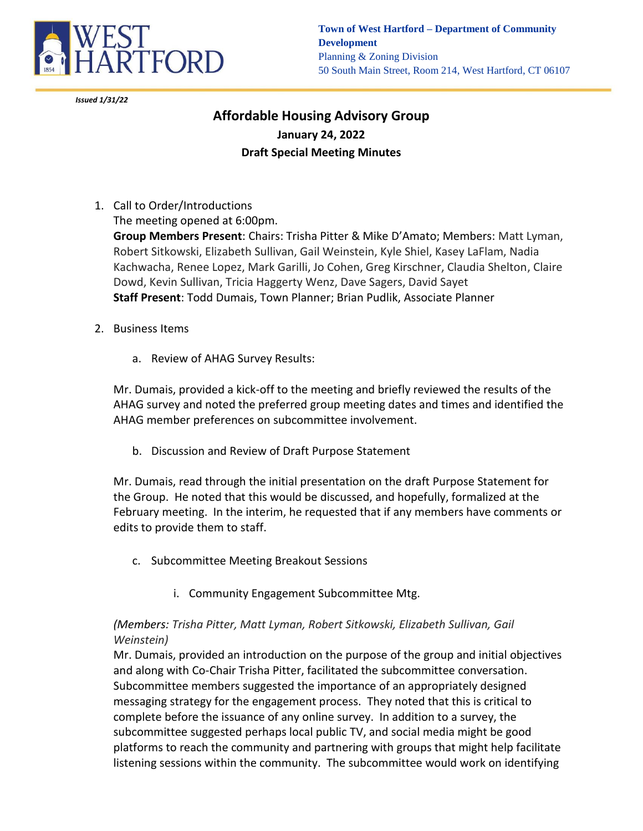

*Issued 1/31/22*

**Town of West Hartford – Department of Community Development** Planning & Zoning Division 50 South Main Street, Room 214, West Hartford, CT 06107

## **Affordable Housing Advisory Group January 24, 2022 Draft Special Meeting Minutes**

1. Call to Order/Introductions

The meeting opened at 6:00pm. **Group Members Present**: Chairs: Trisha Pitter & Mike D'Amato; Members: Matt Lyman,

Robert Sitkowski, Elizabeth Sullivan, Gail Weinstein, Kyle Shiel, Kasey LaFlam, Nadia Kachwacha, Renee Lopez, Mark Garilli, Jo Cohen, Greg Kirschner, Claudia Shelton, Claire Dowd, Kevin Sullivan, Tricia Haggerty Wenz, Dave Sagers, David Sayet **Staff Present**: Todd Dumais, Town Planner; Brian Pudlik, Associate Planner

- 2. Business Items
	- a. Review of AHAG Survey Results:

Mr. Dumais, provided a kick-off to the meeting and briefly reviewed the results of the AHAG survey and noted the preferred group meeting dates and times and identified the AHAG member preferences on subcommittee involvement.

b. Discussion and Review of Draft Purpose Statement

Mr. Dumais, read through the initial presentation on the draft Purpose Statement for the Group. He noted that this would be discussed, and hopefully, formalized at the February meeting. In the interim, he requested that if any members have comments or edits to provide them to staff.

- c. Subcommittee Meeting Breakout Sessions
	- i. Community Engagement Subcommittee Mtg.

## *(Members: Trisha Pitter, Matt Lyman, Robert Sitkowski, Elizabeth Sullivan, Gail Weinstein)*

Mr. Dumais, provided an introduction on the purpose of the group and initial objectives and along with Co-Chair Trisha Pitter, facilitated the subcommittee conversation. Subcommittee members suggested the importance of an appropriately designed messaging strategy for the engagement process. They noted that this is critical to complete before the issuance of any online survey. In addition to a survey, the subcommittee suggested perhaps local public TV, and social media might be good platforms to reach the community and partnering with groups that might help facilitate listening sessions within the community. The subcommittee would work on identifying